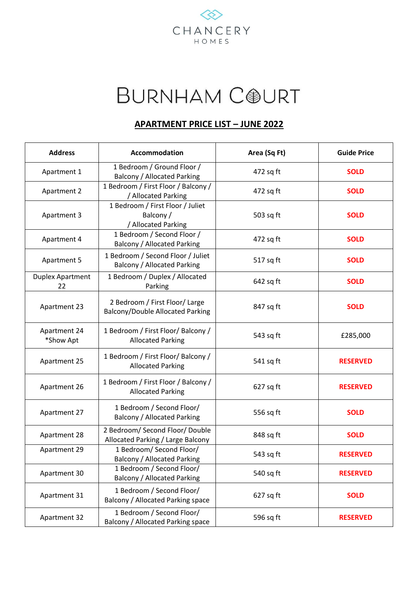

## **BURNHAM COURT**

## **APARTMENT PRICE LIST – JUNE 2022**

| <b>Address</b>                | Accommodation                                                             | Area (Sq Ft) | <b>Guide Price</b> |
|-------------------------------|---------------------------------------------------------------------------|--------------|--------------------|
| Apartment 1                   | 1 Bedroom / Ground Floor /<br><b>Balcony / Allocated Parking</b>          | 472 sq ft    | <b>SOLD</b>        |
| Apartment 2                   | 1 Bedroom / First Floor / Balcony /<br>/ Allocated Parking                | 472 sq ft    | <b>SOLD</b>        |
| Apartment 3                   | 1 Bedroom / First Floor / Juliet<br>Balcony /<br>/ Allocated Parking      | 503 sq ft    | <b>SOLD</b>        |
| Apartment 4                   | 1 Bedroom / Second Floor /<br><b>Balcony / Allocated Parking</b>          | 472 sq ft    | <b>SOLD</b>        |
| Apartment 5                   | 1 Bedroom / Second Floor / Juliet<br><b>Balcony / Allocated Parking</b>   | 517 sq ft    | <b>SOLD</b>        |
| <b>Duplex Apartment</b><br>22 | 1 Bedroom / Duplex / Allocated<br>Parking                                 | 642 sq ft    | <b>SOLD</b>        |
| Apartment 23                  | 2 Bedroom / First Floor/ Large<br><b>Balcony/Double Allocated Parking</b> | 847 sq ft    | <b>SOLD</b>        |
| Apartment 24<br>*Show Apt     | 1 Bedroom / First Floor/ Balcony /<br><b>Allocated Parking</b>            | 543 sq ft    | £285,000           |
| Apartment 25                  | 1 Bedroom / First Floor/ Balcony /<br><b>Allocated Parking</b>            | 541 sq ft    | <b>RESERVED</b>    |
| Apartment 26                  | 1 Bedroom / First Floor / Balcony /<br><b>Allocated Parking</b>           | 627 sq ft    | <b>RESERVED</b>    |
| Apartment 27                  | 1 Bedroom / Second Floor/<br><b>Balcony / Allocated Parking</b>           | 556 sq ft    | <b>SOLD</b>        |
| Apartment 28                  | 2 Bedroom/ Second Floor/ Double<br>Allocated Parking / Large Balcony      | 848 sq ft    | <b>SOLD</b>        |
| Apartment 29                  | 1 Bedroom/ Second Floor/<br><b>Balcony / Allocated Parking</b>            | 543 sq ft    | <b>RESERVED</b>    |
| Apartment 30                  | 1 Bedroom / Second Floor/<br><b>Balcony / Allocated Parking</b>           | 540 sq ft    | <b>RESERVED</b>    |
| Apartment 31                  | 1 Bedroom / Second Floor/<br>Balcony / Allocated Parking space            | 627 sq ft    | <b>SOLD</b>        |
| Apartment 32                  | 1 Bedroom / Second Floor/<br>Balcony / Allocated Parking space            | 596 sq ft    | <b>RESERVED</b>    |